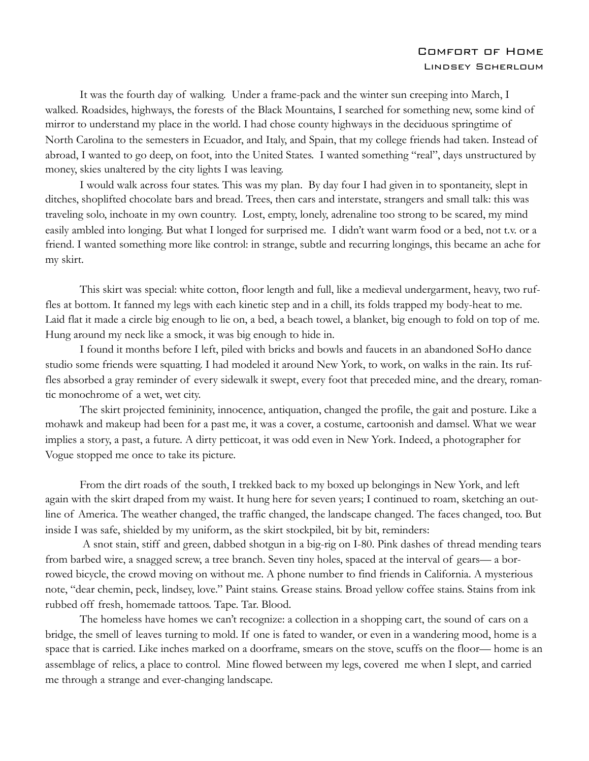## Comfort of Home Lindsey Scherloum

 It was the fourth day of walking. Under a frame-pack and the winter sun creeping into March, I walked. Roadsides, highways, the forests of the Black Mountains, I searched for something new, some kind of mirror to understand my place in the world. I had chose county highways in the deciduous springtime of North Carolina to the semesters in Ecuador, and Italy, and Spain, that my college friends had taken. Instead of abroad, I wanted to go deep, on foot, into the United States. I wanted something "real", days unstructured by money, skies unaltered by the city lights I was leaving.

 I would walk across four states. This was my plan. By day four I had given in to spontaneity, slept in ditches, shoplifted chocolate bars and bread. Trees, then cars and interstate, strangers and small talk: this was traveling solo, inchoate in my own country. Lost, empty, lonely, adrenaline too strong to be scared, my mind easily ambled into longing. But what I longed for surprised me. I didn't want warm food or a bed, not t.v. or a friend. I wanted something more like control: in strange, subtle and recurring longings, this became an ache for my skirt.

 This skirt was special: white cotton, floor length and full, like a medieval undergarment, heavy, two ruffles at bottom. It fanned my legs with each kinetic step and in a chill, its folds trapped my body-heat to me. Laid flat it made a circle big enough to lie on, a bed, a beach towel, a blanket, big enough to fold on top of me. Hung around my neck like a smock, it was big enough to hide in.

I found it months before I left, piled with bricks and bowls and faucets in an abandoned SoHo dance studio some friends were squatting. I had modeled it around New York, to work, on walks in the rain. Its ruffles absorbed a gray reminder of every sidewalk it swept, every foot that preceded mine, and the dreary, romantic monochrome of a wet, wet city.

 The skirt projected femininity, innocence, antiquation, changed the profile, the gait and posture. Like a mohawk and makeup had been for a past me, it was a cover, a costume, cartoonish and damsel. What we wear implies a story, a past, a future. A dirty petticoat, it was odd even in New York. Indeed, a photographer for Vogue stopped me once to take its picture.

 From the dirt roads of the south, I trekked back to my boxed up belongings in New York, and left again with the skirt draped from my waist. It hung here for seven years; I continued to roam, sketching an outline of America. The weather changed, the traffic changed, the landscape changed. The faces changed, too. But inside I was safe, shielded by my uniform, as the skirt stockpiled, bit by bit, reminders:

 A snot stain, stiff and green, dabbed shotgun in a big-rig on I-80. Pink dashes of thread mending tears from barbed wire, a snagged screw, a tree branch. Seven tiny holes, spaced at the interval of gears— a borrowed bicycle, the crowd moving on without me. A phone number to find friends in California. A mysterious note, "dear chemin, peck, lindsey, love." Paint stains. Grease stains. Broad yellow coffee stains. Stains from ink rubbed off fresh, homemade tattoos. Tape. Tar. Blood.

 The homeless have homes we can't recognize: a collection in a shopping cart, the sound of cars on a bridge, the smell of leaves turning to mold. If one is fated to wander, or even in a wandering mood, home is a space that is carried. Like inches marked on a doorframe, smears on the stove, scuffs on the floor— home is an assemblage of relics, a place to control. Mine flowed between my legs, covered me when I slept, and carried me through a strange and ever-changing landscape.